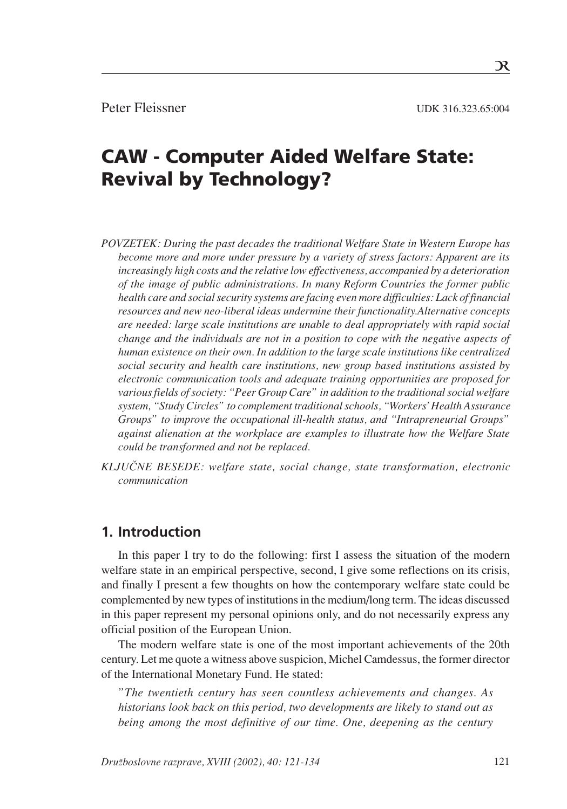R

# CAW - Computer Aided Welfare State: Revival by Technology?

- *POVZETEK: During the past decades the traditional Welfare State in Western Europe has become more and more under pressure by a variety of stress factors: Apparent are its increasingly high costs and the relative low effectiveness, accompanied by a deterioration of the image of public administrations. In many Reform Countries the former public health care and social security systems are facing even more difficulties: Lack of financial resources and new neo-liberal ideas undermine their functionality.Alternative concepts are needed: large scale institutions are unable to deal appropriately with rapid social change and the individuals are not in a position to cope with the negative aspects of human existence on their own. In addition to the large scale institutions like centralized social security and health care institutions, new group based institutions assisted by electronic communication tools and adequate training opportunities are proposed for various fields of society: "Peer Group Care" in addition to the traditional social welfare system, "Study Circles" to complement traditional schools, "Workers' Health Assurance Groups" to improve the occupational ill-health status, and "Intrapreneurial Groups" against alienation at the workplace are examples to illustrate how the Welfare State could be transformed and not be replaced.*
- *KLJU»NE BESEDE: welfare state, social change, state transformation, electronic communication*

#### **1. Introduction**

In this paper I try to do the following: first I assess the situation of the modern welfare state in an empirical perspective, second, I give some reflections on its crisis, and finally I present a few thoughts on how the contemporary welfare state could be complemented by new types of institutions in the medium/long term. The ideas discussed in this paper represent my personal opinions only, and do not necessarily express any official position of the European Union.

The modern welfare state is one of the most important achievements of the 20th century. Let me quote a witness above suspicion, Michel Camdessus, the former director of the International Monetary Fund. He stated:

*"The twentieth century has seen countless achievements and changes. As historians look back on this period, two developments are likely to stand out as being among the most definitive of our time. One, deepening as the century*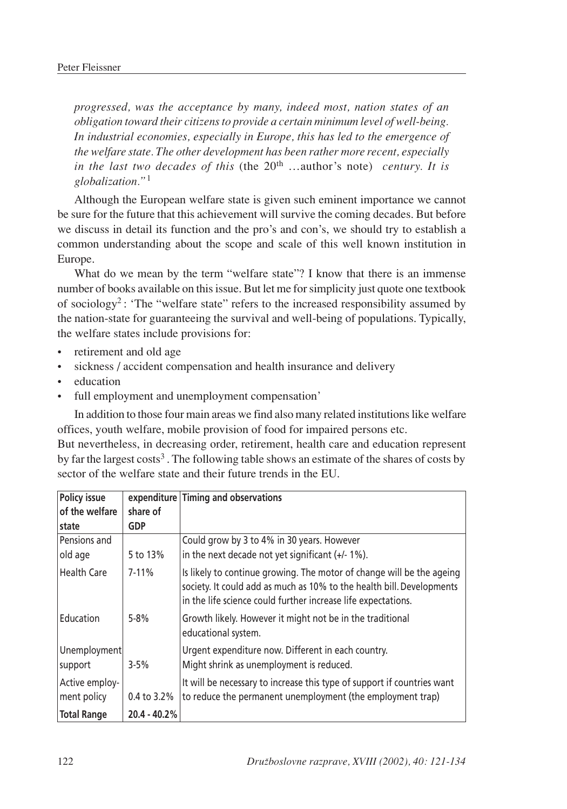*progressed, was the acceptance by many, indeed most, nation states of an obligation toward their citizens to provide a certain minimum level of well-being. In industrial economies, especially in Europe, this has led to the emergence of the welfare state. The other development has been rather more recent, especially in the last two decades of this* (the 20th …author's note) *century. It is globalization."*<sup>1</sup>

Although the European welfare state is given such eminent importance we cannot be sure for the future that this achievement will survive the coming decades. But before we discuss in detail its function and the pro's and con's, we should try to establish a common understanding about the scope and scale of this well known institution in Europe.

What do we mean by the term "welfare state"? I know that there is an immense number of books available on this issue. But let me for simplicity just quote one textbook of sociology<sup>2</sup>: 'The "welfare state" refers to the increased responsibility assumed by the nation-state for guaranteeing the survival and well-being of populations. Typically, the welfare states include provisions for:

- retirement and old age
- sickness / accident compensation and health insurance and delivery
- education
- full employment and unemployment compensation'

In addition to those four main areas we find also many related institutions like welfare offices, youth welfare, mobile provision of food for impaired persons etc.

But nevertheless, in decreasing order, retirement, health care and education represent by far the largest costs<sup>3</sup>. The following table shows an estimate of the shares of costs by sector of the welfare state and their future trends in the EU.

| Policy issue<br>of the welfare | share of       | expenditure Timing and observations                                                                                                                                                                             |
|--------------------------------|----------------|-----------------------------------------------------------------------------------------------------------------------------------------------------------------------------------------------------------------|
| state                          | <b>GDP</b>     |                                                                                                                                                                                                                 |
| Pensions and                   |                | Could grow by 3 to 4% in 30 years. However                                                                                                                                                                      |
| old age                        | 5 to 13%       | in the next decade not yet significant $(+/- 1\%)$ .                                                                                                                                                            |
| <b>Health Care</b>             | $7 - 11\%$     | Is likely to continue growing. The motor of change will be the ageing<br>society. It could add as much as 10% to the health bill. Developments<br>in the life science could further increase life expectations. |
| Education                      | $5 - 8%$       | Growth likely. However it might not be in the traditional<br>educational system.                                                                                                                                |
| Unemployment<br>support        | $3 - 5%$       | Urgent expenditure now. Different in each country.<br>Might shrink as unemployment is reduced.                                                                                                                  |
| Active employ-<br>ment policy  | 0.4 to 3.2%    | It will be necessary to increase this type of support if countries want<br>to reduce the permanent unemployment (the employment trap)                                                                           |
| <b>Total Range</b>             | $20.4 - 40.2%$ |                                                                                                                                                                                                                 |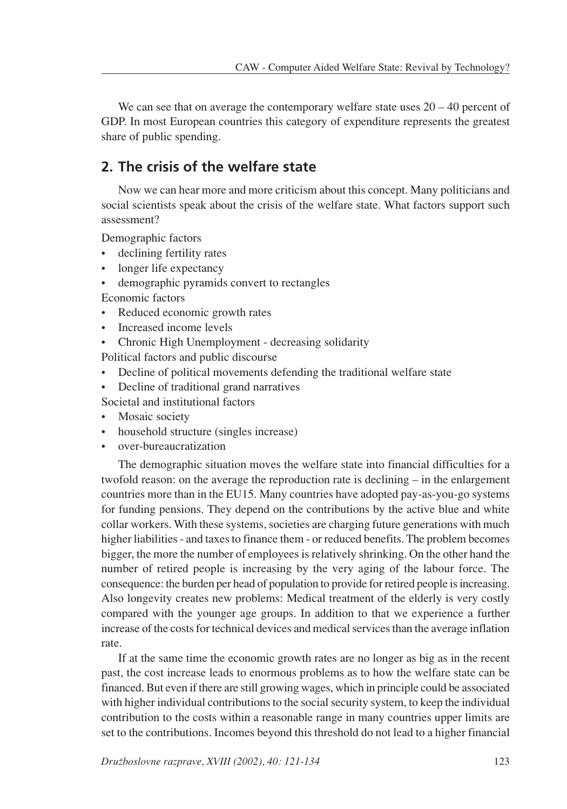We can see that on average the contemporary welfare state uses  $20 - 40$  percent of GDP. In most European countries this category of expenditure represents the greatest share of public spending.

# **2. The crisis of the welfare state**

Now we can hear more and more criticism about this concept. Many politicians and social scientists speak about the crisis of the welfare state. What factors support such assessment?

Demographic factors

- declining fertility rates
- longer life expectancy
- demographic pyramids convert to rectangles

Economic factors

- Reduced economic growth rates
- Increased income levels
- Chronic High Unemployment decreasing solidarity

Political factors and public discourse

- Decline of political movements defending the traditional welfare state
- Decline of traditional grand narratives
- Societal and institutional factors
- Mosaic society
- household structure (singles increase)
- over-bureaucratization

The demographic situation moves the welfare state into financial difficulties for a twofold reason: on the average the reproduction rate is declining  $-$  in the enlargement countries more than in the EU15. Many countries have adopted pay-as-you-go systems for funding pensions. They depend on the contributions by the active blue and white collar workers. With these systems, societies are charging future generations with much higher liabilities - and taxes to finance them - or reduced benefits. The problem becomes bigger, the more the number of employees is relatively shrinking. On the other hand the number of retired people is increasing by the very aging of the labour force. The consequence: the burden per head of population to provide for retired people is increasing. Also longevity creates new problems: Medical treatment of the elderly is very costly compared with the younger age groups. In addition to that we experience a further increase of the costs for technical devices and medical services than the average inflation rate.

If at the same time the economic growth rates are no longer as big as in the recent past, the cost increase leads to enormous problems as to how the welfare state can be financed. But even if there are still growing wages, which in principle could be associated with higher individual contributions to the social security system, to keep the individual contribution to the costs within a reasonable range in many countries upper limits are set to the contributions. Incomes beyond this threshold do not lead to a higher financial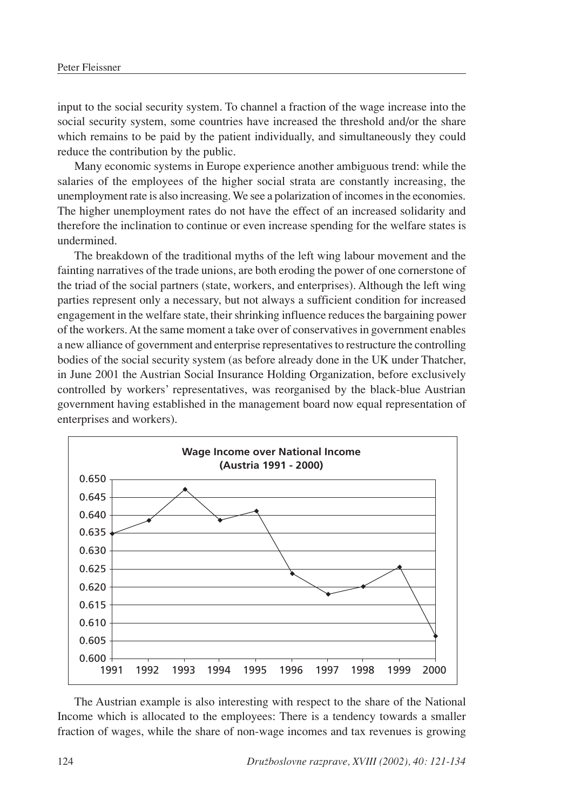input to the social security system. To channel a fraction of the wage increase into the social security system, some countries have increased the threshold and/or the share which remains to be paid by the patient individually, and simultaneously they could reduce the contribution by the public.

Many economic systems in Europe experience another ambiguous trend: while the salaries of the employees of the higher social strata are constantly increasing, the unemployment rate is also increasing. We see a polarization of incomes in the economies. The higher unemployment rates do not have the effect of an increased solidarity and therefore the inclination to continue or even increase spending for the welfare states is undermined.

The breakdown of the traditional myths of the left wing labour movement and the fainting narratives of the trade unions, are both eroding the power of one cornerstone of the triad of the social partners (state, workers, and enterprises). Although the left wing parties represent only a necessary, but not always a sufficient condition for increased engagement in the welfare state, their shrinking influence reduces the bargaining power of the workers. At the same moment a take over of conservatives in government enables a new alliance of government and enterprise representatives to restructure the controlling bodies of the social security system (as before already done in the UK under Thatcher, in June 2001 the Austrian Social Insurance Holding Organization, before exclusively controlled by workers' representatives, was reorganised by the black-blue Austrian government having established in the management board now equal representation of enterprises and workers).



The Austrian example is also interesting with respect to the share of the National Income which is allocated to the employees: There is a tendency towards a smaller fraction of wages, while the share of non-wage incomes and tax revenues is growing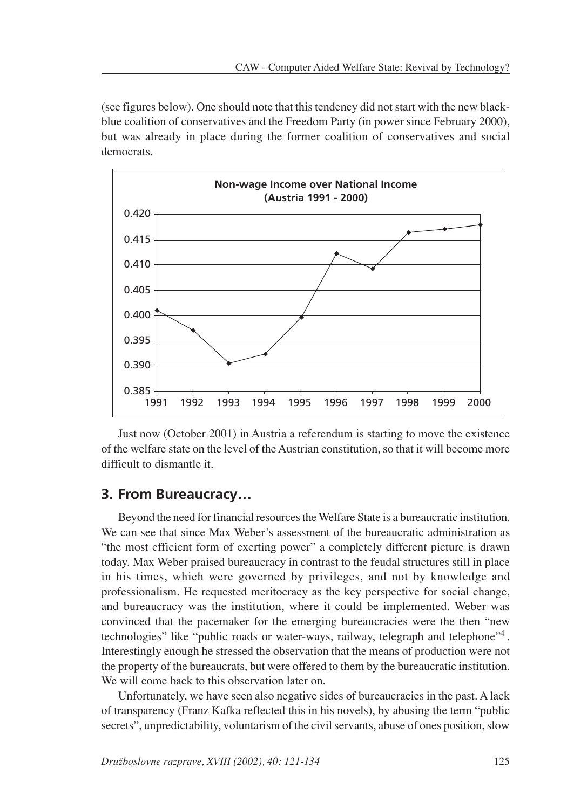(see figures below). One should note that this tendency did not start with the new blackblue coalition of conservatives and the Freedom Party (in power since February 2000), but was already in place during the former coalition of conservatives and social democrats.



Just now (October 2001) in Austria a referendum is starting to move the existence of the welfare state on the level of the Austrian constitution, so that it will become more difficult to dismantle it.

## **3. From Bureaucracy…**

Beyond the need for financial resources the Welfare State is a bureaucratic institution. We can see that since Max Weber's assessment of the bureaucratic administration as "the most efficient form of exerting power" a completely different picture is drawn today. Max Weber praised bureaucracy in contrast to the feudal structures still in place in his times, which were governed by privileges, and not by knowledge and professionalism. He requested meritocracy as the key perspective for social change, and bureaucracy was the institution, where it could be implemented. Weber was convinced that the pacemaker for the emerging bureaucracies were the then "new technologies" like "public roads or water-ways, railway, telegraph and telephone"4 . Interestingly enough he stressed the observation that the means of production were not the property of the bureaucrats, but were offered to them by the bureaucratic institution. We will come back to this observation later on.

Unfortunately, we have seen also negative sides of bureaucracies in the past. A lack of transparency (Franz Kafka reflected this in his novels), by abusing the term "public secrets", unpredictability, voluntarism of the civil servants, abuse of ones position, slow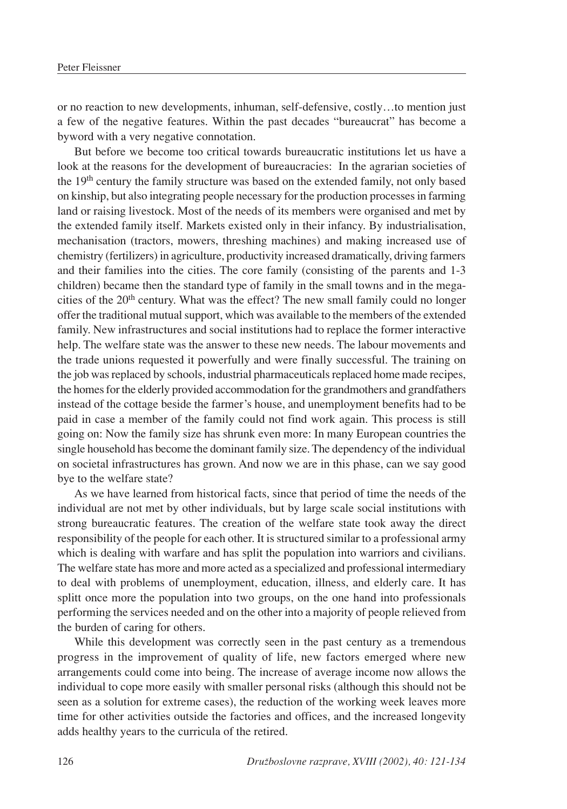or no reaction to new developments, inhuman, self-defensive, costly…to mention just a few of the negative features. Within the past decades "bureaucrat" has become a byword with a very negative connotation.

But before we become too critical towards bureaucratic institutions let us have a look at the reasons for the development of bureaucracies: In the agrarian societies of the 19<sup>th</sup> century the family structure was based on the extended family, not only based on kinship, but also integrating people necessary for the production processes in farming land or raising livestock. Most of the needs of its members were organised and met by the extended family itself. Markets existed only in their infancy. By industrialisation, mechanisation (tractors, mowers, threshing machines) and making increased use of chemistry (fertilizers) in agriculture, productivity increased dramatically, driving farmers and their families into the cities. The core family (consisting of the parents and 1-3 children) became then the standard type of family in the small towns and in the megacities of the 20<sup>th</sup> century. What was the effect? The new small family could no longer offer the traditional mutual support, which was available to the members of the extended family. New infrastructures and social institutions had to replace the former interactive help. The welfare state was the answer to these new needs. The labour movements and the trade unions requested it powerfully and were finally successful. The training on the job was replaced by schools, industrial pharmaceuticals replaced home made recipes, the homes for the elderly provided accommodation for the grandmothers and grandfathers instead of the cottage beside the farmer's house, and unemployment benefits had to be paid in case a member of the family could not find work again. This process is still going on: Now the family size has shrunk even more: In many European countries the single household has become the dominant family size. The dependency of the individual on societal infrastructures has grown. And now we are in this phase, can we say good bye to the welfare state?

As we have learned from historical facts, since that period of time the needs of the individual are not met by other individuals, but by large scale social institutions with strong bureaucratic features. The creation of the welfare state took away the direct responsibility of the people for each other. It is structured similar to a professional army which is dealing with warfare and has split the population into warriors and civilians. The welfare state has more and more acted as a specialized and professional intermediary to deal with problems of unemployment, education, illness, and elderly care. It has splitt once more the population into two groups, on the one hand into professionals performing the services needed and on the other into a majority of people relieved from the burden of caring for others.

While this development was correctly seen in the past century as a tremendous progress in the improvement of quality of life, new factors emerged where new arrangements could come into being. The increase of average income now allows the individual to cope more easily with smaller personal risks (although this should not be seen as a solution for extreme cases), the reduction of the working week leaves more time for other activities outside the factories and offices, and the increased longevity adds healthy years to the curricula of the retired.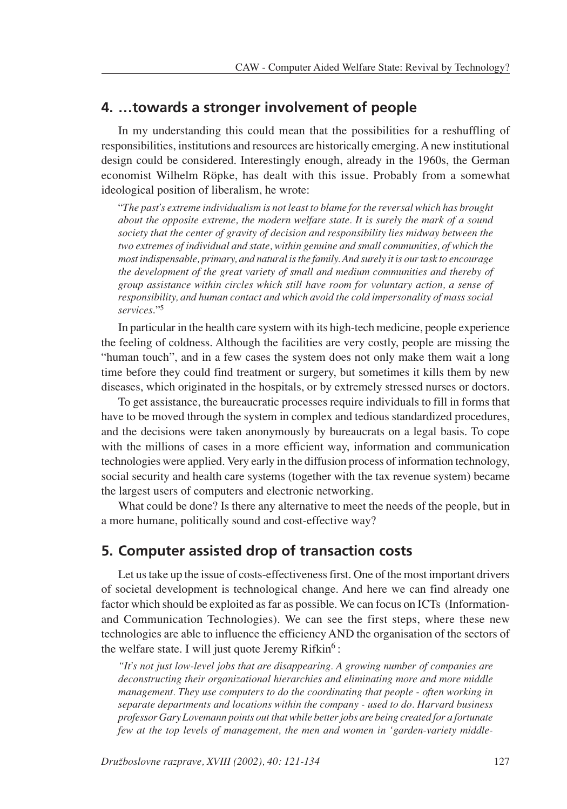## **4. …towards a stronger involvement of people**

In my understanding this could mean that the possibilities for a reshuffling of responsibilities, institutions and resources are historically emerging. A new institutional design could be considered. Interestingly enough, already in the 1960s, the German economist Wilhelm Röpke, has dealt with this issue. Probably from a somewhat ideological position of liberalism, he wrote:

"*The past's extreme individualism is not least to blame for the reversal which has brought about the opposite extreme, the modern welfare state. It is surely the mark of a sound society that the center of gravity of decision and responsibility lies midway between the two extremes of individual and state, within genuine and small communities, of which the most indispensable, primary, and natural is the family. And surely it is our task to encourage the development of the great variety of small and medium communities and thereby of group assistance within circles which still have room for voluntary action, a sense of responsibility, and human contact and which avoid the cold impersonality of mass social services*."5

In particular in the health care system with its high-tech medicine, people experience the feeling of coldness. Although the facilities are very costly, people are missing the "human touch", and in a few cases the system does not only make them wait a long time before they could find treatment or surgery, but sometimes it kills them by new diseases, which originated in the hospitals, or by extremely stressed nurses or doctors.

To get assistance, the bureaucratic processes require individuals to fill in forms that have to be moved through the system in complex and tedious standardized procedures, and the decisions were taken anonymously by bureaucrats on a legal basis. To cope with the millions of cases in a more efficient way, information and communication technologies were applied. Very early in the diffusion process of information technology, social security and health care systems (together with the tax revenue system) became the largest users of computers and electronic networking.

What could be done? Is there any alternative to meet the needs of the people, but in a more humane, politically sound and cost-effective way?

## **5. Computer assisted drop of transaction costs**

Let us take up the issue of costs-effectiveness first. One of the most important drivers of societal development is technological change. And here we can find already one factor which should be exploited as far as possible. We can focus on ICTs (Informationand Communication Technologies). We can see the first steps, where these new technologies are able to influence the efficiency AND the organisation of the sectors of the welfare state. I will just quote Jeremy  $Rifkin^6$ :

*"It's not just low-level jobs that are disappearing. A growing number of companies are deconstructing their organizational hierarchies and eliminating more and more middle management. They use computers to do the coordinating that people - often working in separate departments and locations within the company - used to do. Harvard business professor Gary Lovemann points out that while better jobs are being created for a fortunate few at the top levels of management, the men and women in 'garden-variety middle-*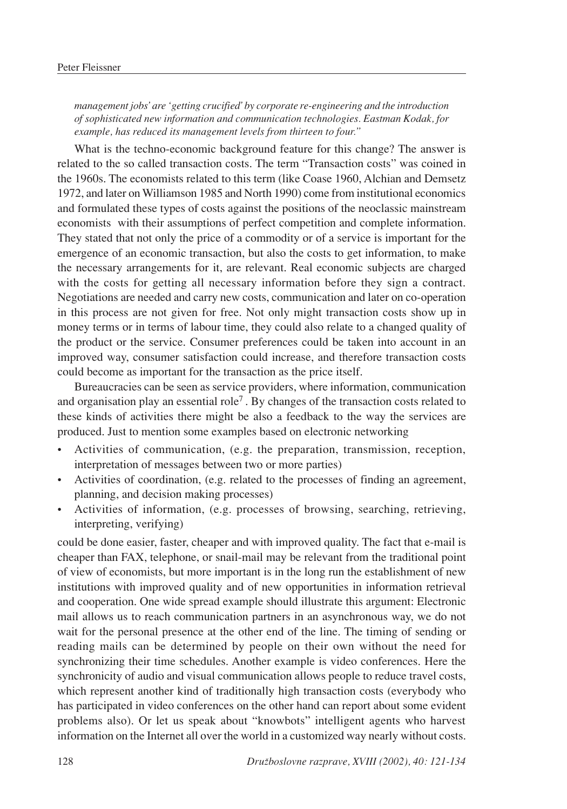*management jobs' are 'getting crucified' by corporate re-engineering and the introduction of sophisticated new information and communication technologies. Eastman Kodak, for example, has reduced its management levels from thirteen to four."*

What is the techno-economic background feature for this change? The answer is related to the so called transaction costs. The term "Transaction costs" was coined in the 1960s. The economists related to this term (like Coase 1960, Alchian and Demsetz 1972, and later on Williamson 1985 and North 1990) come from institutional economics and formulated these types of costs against the positions of the neoclassic mainstream economists with their assumptions of perfect competition and complete information. They stated that not only the price of a commodity or of a service is important for the emergence of an economic transaction, but also the costs to get information, to make the necessary arrangements for it, are relevant. Real economic subjects are charged with the costs for getting all necessary information before they sign a contract. Negotiations are needed and carry new costs, communication and later on co-operation in this process are not given for free. Not only might transaction costs show up in money terms or in terms of labour time, they could also relate to a changed quality of the product or the service. Consumer preferences could be taken into account in an improved way, consumer satisfaction could increase, and therefore transaction costs could become as important for the transaction as the price itself.

Bureaucracies can be seen as service providers, where information, communication and organisation play an essential role<sup>7</sup>. By changes of the transaction costs related to these kinds of activities there might be also a feedback to the way the services are produced. Just to mention some examples based on electronic networking

- Activities of communication, (e.g. the preparation, transmission, reception, interpretation of messages between two or more parties)
- Activities of coordination, (e.g. related to the processes of finding an agreement, planning, and decision making processes)
- Activities of information, (e.g. processes of browsing, searching, retrieving, interpreting, verifying)

could be done easier, faster, cheaper and with improved quality. The fact that e-mail is cheaper than FAX, telephone, or snail-mail may be relevant from the traditional point of view of economists, but more important is in the long run the establishment of new institutions with improved quality and of new opportunities in information retrieval and cooperation. One wide spread example should illustrate this argument: Electronic mail allows us to reach communication partners in an asynchronous way, we do not wait for the personal presence at the other end of the line. The timing of sending or reading mails can be determined by people on their own without the need for synchronizing their time schedules. Another example is video conferences. Here the synchronicity of audio and visual communication allows people to reduce travel costs, which represent another kind of traditionally high transaction costs (everybody who has participated in video conferences on the other hand can report about some evident problems also). Or let us speak about "knowbots" intelligent agents who harvest information on the Internet all over the world in a customized way nearly without costs.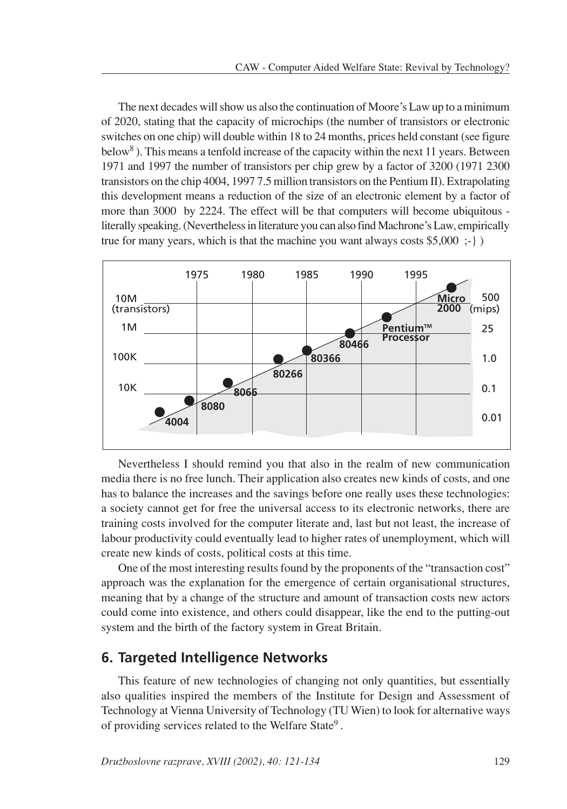The next decades will show us also the continuation of Moore's Law up to a minimum of 2020, stating that the capacity of microchips (the number of transistors or electronic switches on one chip) will double within 18 to 24 months, prices held constant (see figure below<sup>8</sup>). This means a tenfold increase of the capacity within the next 11 years. Between 1971 and 1997 the number of transistors per chip grew by a factor of 3200 (1971 2300 transistors on the chip 4004, 1997 7.5 million transistors on the Pentium II). Extrapolating this development means a reduction of the size of an electronic element by a factor of more than 3000 by 2224. The effect will be that computers will become ubiquitous literally speaking. (Nevertheless in literature you can also find Machrone's Law, empirically true for many years, which is that the machine you want always costs  $$5,000$  ;-} )



Nevertheless I should remind you that also in the realm of new communication media there is no free lunch. Their application also creates new kinds of costs, and one has to balance the increases and the savings before one really uses these technologies: a society cannot get for free the universal access to its electronic networks, there are training costs involved for the computer literate and, last but not least, the increase of labour productivity could eventually lead to higher rates of unemployment, which will create new kinds of costs, political costs at this time.

One of the most interesting results found by the proponents of the "transaction cost" approach was the explanation for the emergence of certain organisational structures, meaning that by a change of the structure and amount of transaction costs new actors could come into existence, and others could disappear, like the end to the putting-out system and the birth of the factory system in Great Britain.

## **6. Targeted Intelligence Networks**

This feature of new technologies of changing not only quantities, but essentially also qualities inspired the members of the Institute for Design and Assessment of Technology at Vienna University of Technology (TU Wien) to look for alternative ways of providing services related to the Welfare State<sup>9</sup>.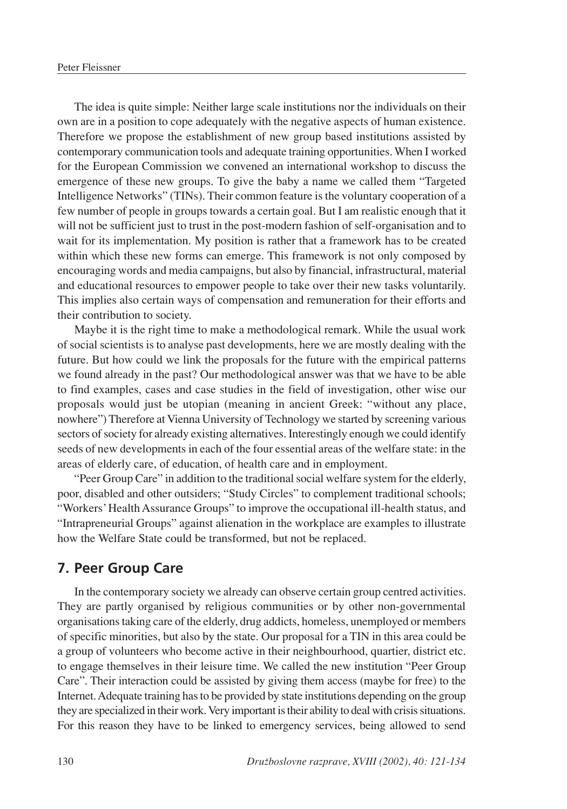The idea is quite simple: Neither large scale institutions nor the individuals on their own are in a position to cope adequately with the negative aspects of human existence. Therefore we propose the establishment of new group based institutions assisted by contemporary communication tools and adequate training opportunities. When I worked for the European Commission we convened an international workshop to discuss the emergence of these new groups. To give the baby a name we called them "Targeted Intelligence Networks" (TINs). Their common feature is the voluntary cooperation of a few number of people in groups towards a certain goal. But I am realistic enough that it will not be sufficient just to trust in the post-modern fashion of self-organisation and to wait for its implementation. My position is rather that a framework has to be created within which these new forms can emerge. This framework is not only composed by encouraging words and media campaigns, but also by financial, infrastructural, material and educational resources to empower people to take over their new tasks voluntarily. This implies also certain ways of compensation and remuneration for their efforts and their contribution to society.

Maybe it is the right time to make a methodological remark. While the usual work of social scientists is to analyse past developments, here we are mostly dealing with the future. But how could we link the proposals for the future with the empirical patterns we found already in the past? Our methodological answer was that we have to be able to find examples, cases and case studies in the field of investigation, other wise our proposals would just be utopian (meaning in ancient Greek: "without any place, nowhere") Therefore at Vienna University of Technology we started by screening various sectors of society for already existing alternatives. Interestingly enough we could identify seeds of new developments in each of the four essential areas of the welfare state: in the areas of elderly care, of education, of health care and in employment.

"Peer Group Care" in addition to the traditional social welfare system for the elderly, poor, disabled and other outsiders; "Study Circles" to complement traditional schools; "Workers' Health Assurance Groups" to improve the occupational ill-health status, and "Intrapreneurial Groups" against alienation in the workplace are examples to illustrate how the Welfare State could be transformed, but not be replaced.

## **7. Peer Group Care**

In the contemporary society we already can observe certain group centred activities. They are partly organised by religious communities or by other non-governmental organisations taking care of the elderly, drug addicts, homeless, unemployed or members of specific minorities, but also by the state. Our proposal for a TIN in this area could be a group of volunteers who become active in their neighbourhood, quartier, district etc. to engage themselves in their leisure time. We called the new institution "Peer Group Care". Their interaction could be assisted by giving them access (maybe for free) to the Internet. Adequate training has to be provided by state institutions depending on the group they are specialized in their work. Very important is their ability to deal with crisis situations. For this reason they have to be linked to emergency services, being allowed to send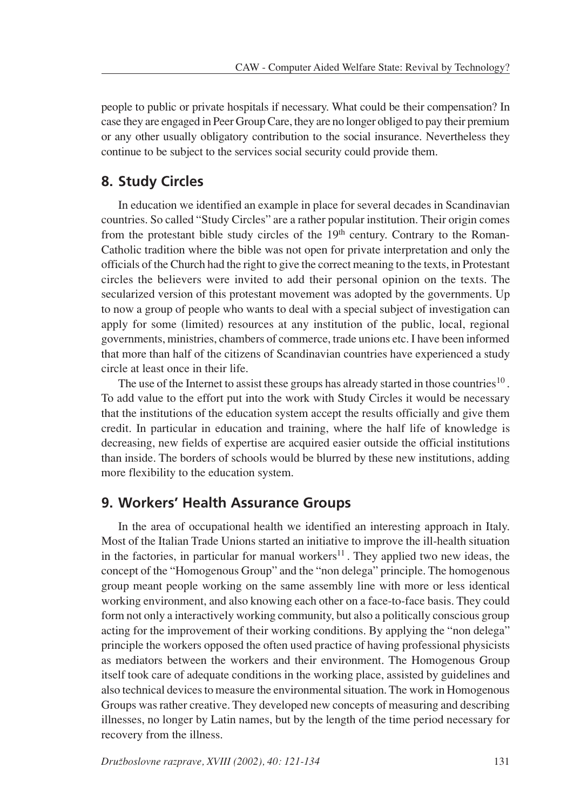people to public or private hospitals if necessary. What could be their compensation? In case they are engaged in Peer Group Care, they are no longer obliged to pay their premium or any other usually obligatory contribution to the social insurance. Nevertheless they continue to be subject to the services social security could provide them.

## **8. Study Circles**

In education we identified an example in place for several decades in Scandinavian countries. So called "Study Circles" are a rather popular institution. Their origin comes from the protestant bible study circles of the  $19<sup>th</sup>$  century. Contrary to the Roman-Catholic tradition where the bible was not open for private interpretation and only the officials of the Church had the right to give the correct meaning to the texts, in Protestant circles the believers were invited to add their personal opinion on the texts. The secularized version of this protestant movement was adopted by the governments. Up to now a group of people who wants to deal with a special subject of investigation can apply for some (limited) resources at any institution of the public, local, regional governments, ministries, chambers of commerce, trade unions etc. I have been informed that more than half of the citizens of Scandinavian countries have experienced a study circle at least once in their life.

The use of the Internet to assist these groups has already started in those countries<sup>10</sup>. To add value to the effort put into the work with Study Circles it would be necessary that the institutions of the education system accept the results officially and give them credit. In particular in education and training, where the half life of knowledge is decreasing, new fields of expertise are acquired easier outside the official institutions than inside. The borders of schools would be blurred by these new institutions, adding more flexibility to the education system.

## **9. Workers' Health Assurance Groups**

In the area of occupational health we identified an interesting approach in Italy. Most of the Italian Trade Unions started an initiative to improve the ill-health situation in the factories, in particular for manual workers<sup>11</sup>. They applied two new ideas, the concept of the "Homogenous Group" and the "non delega" principle. The homogenous group meant people working on the same assembly line with more or less identical working environment, and also knowing each other on a face-to-face basis. They could form not only a interactively working community, but also a politically conscious group acting for the improvement of their working conditions. By applying the "non delega" principle the workers opposed the often used practice of having professional physicists as mediators between the workers and their environment. The Homogenous Group itself took care of adequate conditions in the working place, assisted by guidelines and also technical devices to measure the environmental situation. The work in Homogenous Groups was rather creative. They developed new concepts of measuring and describing illnesses, no longer by Latin names, but by the length of the time period necessary for recovery from the illness.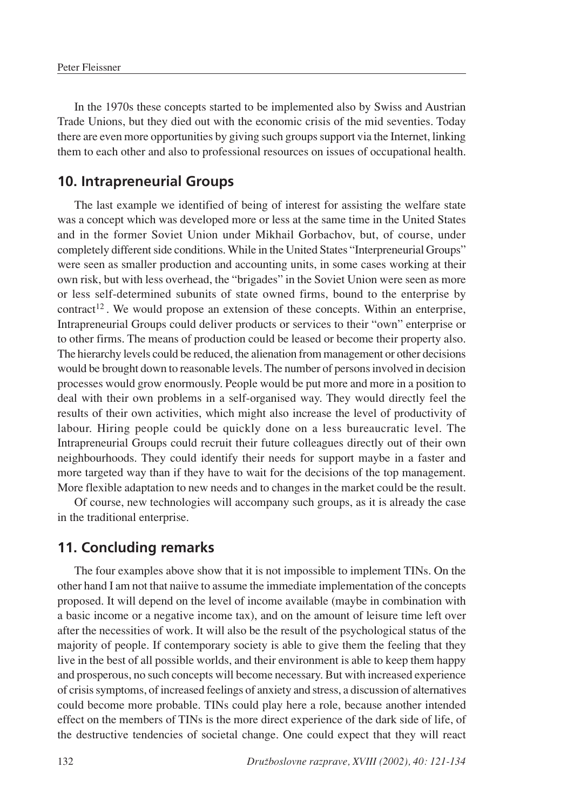In the 1970s these concepts started to be implemented also by Swiss and Austrian Trade Unions, but they died out with the economic crisis of the mid seventies. Today there are even more opportunities by giving such groups support via the Internet, linking them to each other and also to professional resources on issues of occupational health.

#### **10. Intrapreneurial Groups**

The last example we identified of being of interest for assisting the welfare state was a concept which was developed more or less at the same time in the United States and in the former Soviet Union under Mikhail Gorbachov, but, of course, under completely different side conditions. While in the United States "Interpreneurial Groups" were seen as smaller production and accounting units, in some cases working at their own risk, but with less overhead, the "brigades" in the Soviet Union were seen as more or less self-determined subunits of state owned firms, bound to the enterprise by contract<sup>12</sup>. We would propose an extension of these concepts. Within an enterprise, Intrapreneurial Groups could deliver products or services to their "own" enterprise or to other firms. The means of production could be leased or become their property also. The hierarchy levels could be reduced, the alienation from management or other decisions would be brought down to reasonable levels. The number of persons involved in decision processes would grow enormously. People would be put more and more in a position to deal with their own problems in a self-organised way. They would directly feel the results of their own activities, which might also increase the level of productivity of labour. Hiring people could be quickly done on a less bureaucratic level. The Intrapreneurial Groups could recruit their future colleagues directly out of their own neighbourhoods. They could identify their needs for support maybe in a faster and more targeted way than if they have to wait for the decisions of the top management. More flexible adaptation to new needs and to changes in the market could be the result.

Of course, new technologies will accompany such groups, as it is already the case in the traditional enterprise.

## **11. Concluding remarks**

The four examples above show that it is not impossible to implement TINs. On the other hand I am not that naiive to assume the immediate implementation of the concepts proposed. It will depend on the level of income available (maybe in combination with a basic income or a negative income tax), and on the amount of leisure time left over after the necessities of work. It will also be the result of the psychological status of the majority of people. If contemporary society is able to give them the feeling that they live in the best of all possible worlds, and their environment is able to keep them happy and prosperous, no such concepts will become necessary. But with increased experience of crisis symptoms, of increased feelings of anxiety and stress, a discussion of alternatives could become more probable. TINs could play here a role, because another intended effect on the members of TINs is the more direct experience of the dark side of life, of the destructive tendencies of societal change. One could expect that they will react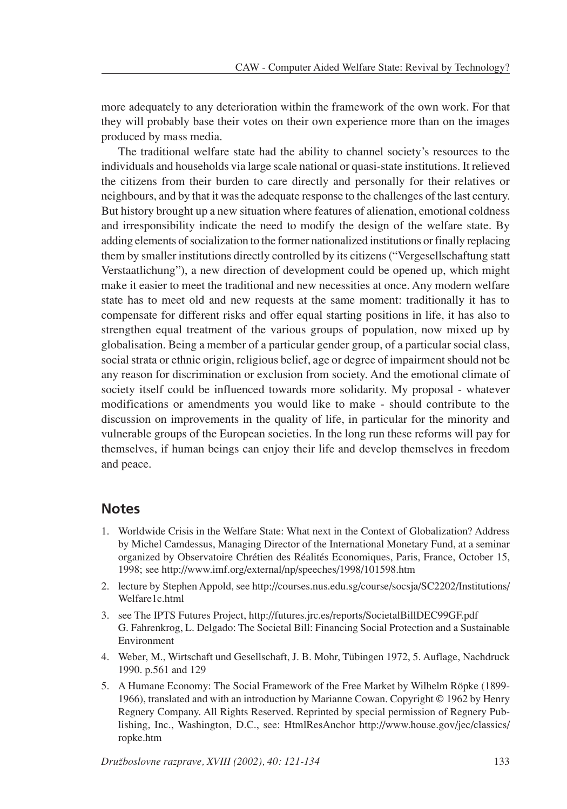more adequately to any deterioration within the framework of the own work. For that they will probably base their votes on their own experience more than on the images produced by mass media.

The traditional welfare state had the ability to channel society's resources to the individuals and households via large scale national or quasi-state institutions. It relieved the citizens from their burden to care directly and personally for their relatives or neighbours, and by that it was the adequate response to the challenges of the last century. But history brought up a new situation where features of alienation, emotional coldness and irresponsibility indicate the need to modify the design of the welfare state. By adding elements of socialization to the former nationalized institutions or finally replacing them by smaller institutions directly controlled by its citizens ("Vergesellschaftung statt Verstaatlichung"), a new direction of development could be opened up, which might make it easier to meet the traditional and new necessities at once. Any modern welfare state has to meet old and new requests at the same moment: traditionally it has to compensate for different risks and offer equal starting positions in life, it has also to strengthen equal treatment of the various groups of population, now mixed up by globalisation. Being a member of a particular gender group, of a particular social class, social strata or ethnic origin, religious belief, age or degree of impairment should not be any reason for discrimination or exclusion from society. And the emotional climate of society itself could be influenced towards more solidarity. My proposal - whatever modifications or amendments you would like to make - should contribute to the discussion on improvements in the quality of life, in particular for the minority and vulnerable groups of the European societies. In the long run these reforms will pay for themselves, if human beings can enjoy their life and develop themselves in freedom and peace.

## **Notes**

- 1. Worldwide Crisis in the Welfare State: What next in the Context of Globalization? Address by Michel Camdessus, Managing Director of the International Monetary Fund, at a seminar organized by Observatoire Chrétien des Réalités Economiques, Paris, France, October 15, 1998; see http://www.imf.org/external/np/speeches/1998/101598.htm
- 2. lecture by Stephen Appold, see http://courses.nus.edu.sg/course/socsja/SC2202/Institutions/ Welfare1c.html
- 3. see The IPTS Futures Project, http://futures.jrc.es/reports/SocietalBillDEC99GF.pdf G. Fahrenkrog, L. Delgado: The Societal Bill: Financing Social Protection and a Sustainable Environment
- 4. Weber, M., Wirtschaft und Gesellschaft, J. B. Mohr, Tübingen 1972, 5. Auflage, Nachdruck 1990. p.561 and 129
- 5. A Humane Economy: The Social Framework of the Free Market by Wilhelm Röpke (1899- 1966), translated and with an introduction by Marianne Cowan. Copyright  $© 1962$  by Henry Regnery Company. All Rights Reserved. Reprinted by special permission of Regnery Publishing, Inc., Washington, D.C., see: HtmlResAnchor http://www.house.gov/jec/classics/ ropke.htm